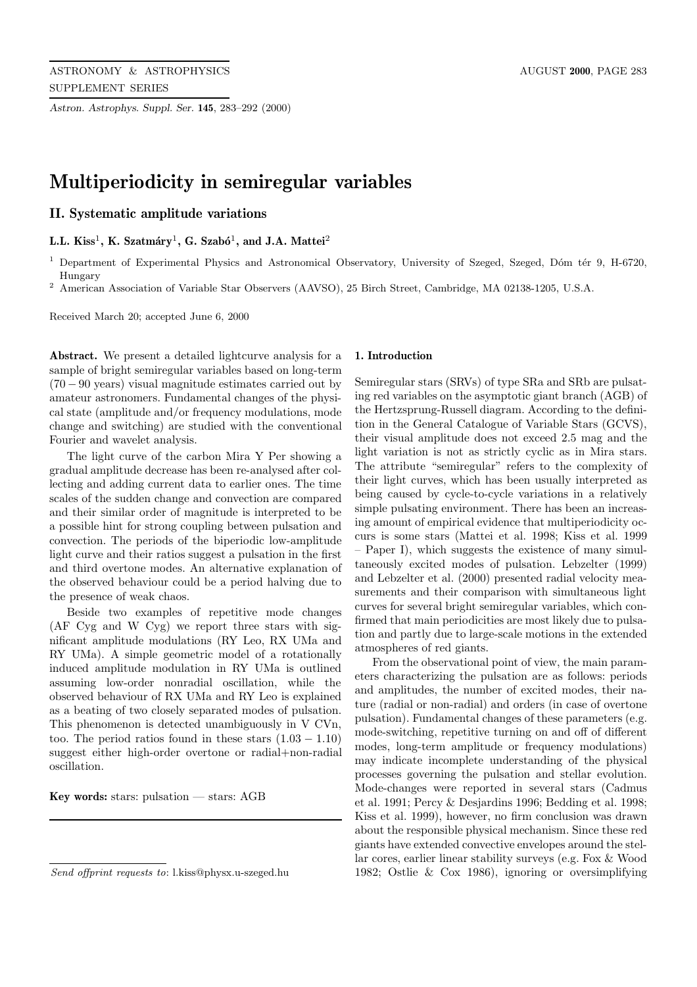*Astron. Astrophys. Suppl. Ser.* **145**, 283–292 (2000)

# **Multiperiodicity in semiregular variables**

## **II. Systematic amplitude variations**

L.L. Kiss<sup>1</sup>, K. Szatmáry<sup>1</sup>, G. Szabó<sup>1</sup>, and J.A. Mattei<sup>2</sup>

 $1$  Department of Experimental Physics and Astronomical Observatory, University of Szeged, Szeged, Dóm tér 9, H-6720, Hungary

<sup>2</sup> American Association of Variable Star Observers (AAVSO), 25 Birch Street, Cambridge, MA 02138-1205, U.S.A.

Received March 20; accepted June 6, 2000

**Abstract.** We present a detailed lightcurve analysis for a sample of bright semiregular variables based on long-term  $(70 - 90 \text{ years})$  visual magnitude estimates carried out by amateur astronomers. Fundamental changes of the physical state (amplitude and/or frequency modulations, mode change and switching) are studied with the conventional Fourier and wavelet analysis.

The light curve of the carbon Mira Y Per showing a gradual amplitude decrease has been re-analysed after collecting and adding current data to earlier ones. The time scales of the sudden change and convection are compared and their similar order of magnitude is interpreted to be a possible hint for strong coupling between pulsation and convection. The periods of the biperiodic low-amplitude light curve and their ratios suggest a pulsation in the first and third overtone modes. An alternative explanation of the observed behaviour could be a period halving due to the presence of weak chaos.

Beside two examples of repetitive mode changes (AF Cyg and W Cyg) we report three stars with significant amplitude modulations (RY Leo, RX UMa and RY UMa). A simple geometric model of a rotationally induced amplitude modulation in RY UMa is outlined assuming low-order nonradial oscillation, while the observed behaviour of RX UMa and RY Leo is explained as a beating of two closely separated modes of pulsation. This phenomenon is detected unambiguously in V CVn, too. The period ratios found in these stars  $(1.03 - 1.10)$ suggest either high-order overtone or radial+non-radial oscillation.

**Key words:** stars: pulsation — stars: AGB

#### **1. Introduction**

Semiregular stars (SRVs) of type SRa and SRb are pulsating red variables on the asymptotic giant branch (AGB) of the Hertzsprung-Russell diagram. According to the definition in the General Catalogue of Variable Stars (GCVS), their visual amplitude does not exceed 2.5 mag and the light variation is not as strictly cyclic as in Mira stars. The attribute "semiregular" refers to the complexity of their light curves, which has been usually interpreted as being caused by cycle-to-cycle variations in a relatively simple pulsating environment. There has been an increasing amount of empirical evidence that multiperiodicity occurs is some stars (Mattei et al. 1998; Kiss et al. 1999 Paper I), which suggests the existence of many simultaneously excited modes of pulsation. Lebzelter (1999) and Lebzelter et al. (2000) presented radial velocity measurements and their comparison with simultaneous light curves for several bright semiregular variables, which confirmed that main periodicities are most likely due to pulsation and partly due to large-scale motions in the extended atmospheres of red giants.

From the observational point of view, the main parameters characterizing the pulsation are as follows: periods and amplitudes, the number of excited modes, their nature (radial or non-radial) and orders (in case of overtone pulsation). Fundamental changes of these parameters (e.g. mode-switching, repetitive turning on and off of different modes, long-term amplitude or frequency modulations) may indicate incomplete understanding of the physical processes governing the pulsation and stellar evolution. Mode-changes were reported in several stars (Cadmus et al. 1991; Percy & Desjardins 1996; Bedding et al. 1998; Kiss et al. 1999), however, no firm conclusion was drawn about the responsible physical mechanism. Since these red giants have extended convective envelopes around the stellar cores, earlier linear stability surveys (e.g. Fox & Wood 1982; Ostlie & Cox 1986), ignoring or oversimplifying

Send offprint requests to: l.kiss@physx.u-szeged.hu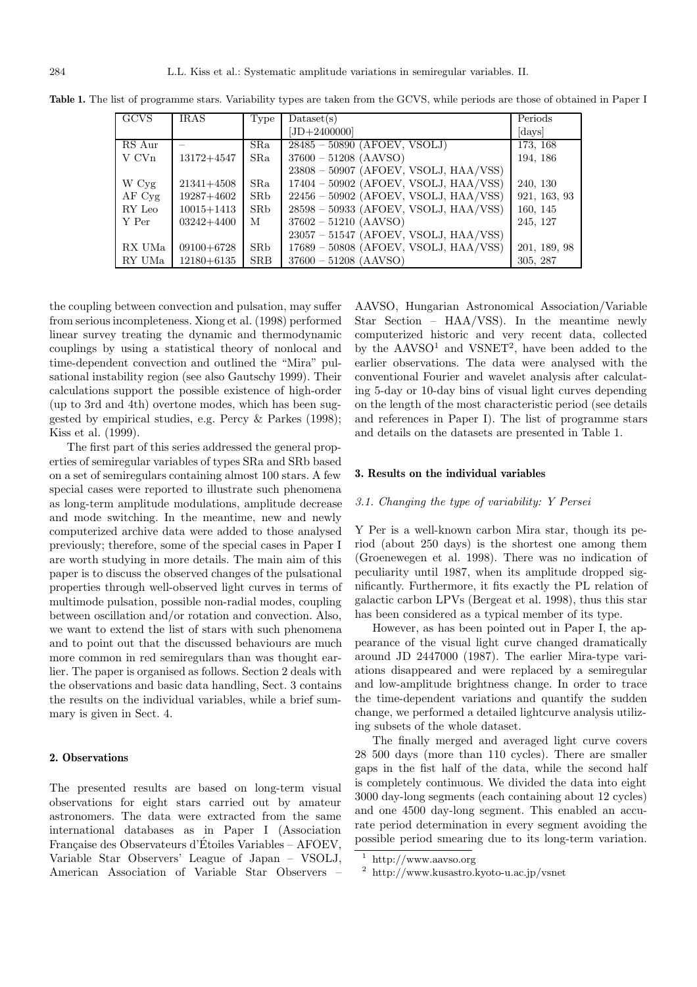| <b>GCVS</b>       | <b>IRAS</b>    | Type         | $\text{Database}(s)$                    | Periods      |
|-------------------|----------------|--------------|-----------------------------------------|--------------|
|                   |                |              | $[JD + 2400000]$                        | days         |
| RS Aur            |                | $S$ Ra       | $28485 - 50890$ (AFOEV, VSOLJ)          | 173, 168     |
| V CV <sub>n</sub> | $13172 + 4547$ | $S$ Ra       | $37600 - 51208$ (AAVSO)                 | 194, 186     |
|                   |                |              | $23808 - 50907$ (AFOEV, VSOLJ, HAA/VSS) |              |
| W Cyg             | $21341 + 4508$ | $_{\rm SRa}$ | $17404 - 50902$ (AFOEV, VSOLJ, HAA/VSS) | 240, 130     |
| AFCvg             | 19287+4602     | SRb          | $22456 - 50902$ (AFOEV, VSOLJ, HAA/VSS) | 921, 163, 93 |
| RY Leo            | $10015 + 1413$ | <b>SRb</b>   | $28598 - 50933$ (AFOEV, VSOLJ, HAA/VSS) | 160, 145     |
| Y Per             | $03242 + 4400$ | M            | $37602 - 51210$ (AAVSO)                 | 245, 127     |
|                   |                |              | $23057 - 51547$ (AFOEV, VSOLJ, HAA/VSS) |              |
| RX UMa            | $09100 + 6728$ | SRb          | $17689 - 50808$ (AFOEV, VSOLJ, HAA/VSS) | 201, 189, 98 |
| RY UMa            | $12180 + 6135$ | <b>SRB</b>   | $37600 - 51208$ (AAVSO)                 | 305, 287     |

**Table 1.** The list of programme stars. Variability types are taken from the GCVS, while periods are those of obtained in Paper I

the coupling between convection and pulsation, may suffer from serious incompleteness. Xiong et al. (1998) performed linear survey treating the dynamic and thermodynamic couplings by using a statistical theory of nonlocal and time-dependent convection and outlined the "Mira" pulsational instability region (see also Gautschy 1999). Their calculations support the possible existence of high-order (up to 3rd and 4th) overtone modes, which has been suggested by empirical studies, e.g. Percy & Parkes (1998); Kiss et al. (1999).

The first part of this series addressed the general properties of semiregular variables of types SRa and SRb based on a set of semiregulars containing almost 100 stars. A few special cases were reported to illustrate such phenomena as long-term amplitude modulations, amplitude decrease and mode switching. In the meantime, new and newly computerized archive data were added to those analysed previously; therefore, some of the special cases in Paper I are worth studying in more details. The main aim of this paper is to discuss the observed changes of the pulsational properties through well-observed light curves in terms of multimode pulsation, possible non-radial modes, coupling between oscillation and/or rotation and convection. Also, we want to extend the list of stars with such phenomena and to point out that the discussed behaviours are much more common in red semiregulars than was thought earlier. The paper is organised as follows. Section 2 deals with the observations and basic data handling, Sect. 3 contains the results on the individual variables, while a brief summary is given in Sect. 4.

### **2. Observations**

The presented results are based on long-term visual observations for eight stars carried out by amateur astronomers. The data were extracted from the same international databases as in Paper I (Association Française des Observateurs d'Étoiles Variables – AFOEV, Variable Star Observers' League of Japan – VSOLJ, American Association of Variable Star Observers –

AAVSO, Hungarian Astronomical Association/Variable Star Section – HAA/VSS). In the meantime newly computerized historic and very recent data, collected by the  $AAVSO<sup>1</sup>$  and  $VSNET<sup>2</sup>$ , have been added to the earlier observations. The data were analysed with the conventional Fourier and wavelet analysis after calculating 5-day or 10-day bins of visual light curves depending on the length of the most characteristic period (see details and references in Paper I). The list of programme stars and details on the datasets are presented in Table 1.

#### **3. Results on the individual variables**

#### 3.1. Changing the type of variability: Y Persei

Y Per is a well-known carbon Mira star, though its period (about 250 days) is the shortest one among them (Groenewegen et al. 1998). There was no indication of peculiarity until 1987, when its amplitude dropped significantly. Furthermore, it fits exactly the PL relation of galactic carbon LPVs (Bergeat et al. 1998), thus this star has been considered as a typical member of its type.

However, as has been pointed out in Paper I, the appearance of the visual light curve changed dramatically around JD 2447000 (1987). The earlier Mira-type variations disappeared and were replaced by a semiregular and low-amplitude brightness change. In order to trace the time-dependent variations and quantify the sudden change, we performed a detailed lightcurve analysis utilizing subsets of the whole dataset.

The finally merged and averaged light curve covers 28 500 days (more than 110 cycles). There are smaller gaps in the fist half of the data, while the second half is completely continuous. We divided the data into eight 3000 day-long segments (each containing about 12 cycles) and one 4500 day-long segment. This enabled an accurate period determination in every segment avoiding the possible period smearing due to its long-term variation.

 $1$  http://www.aavso.org

<sup>2</sup> http://www.kusastro.kyoto-u.ac.jp/vsnet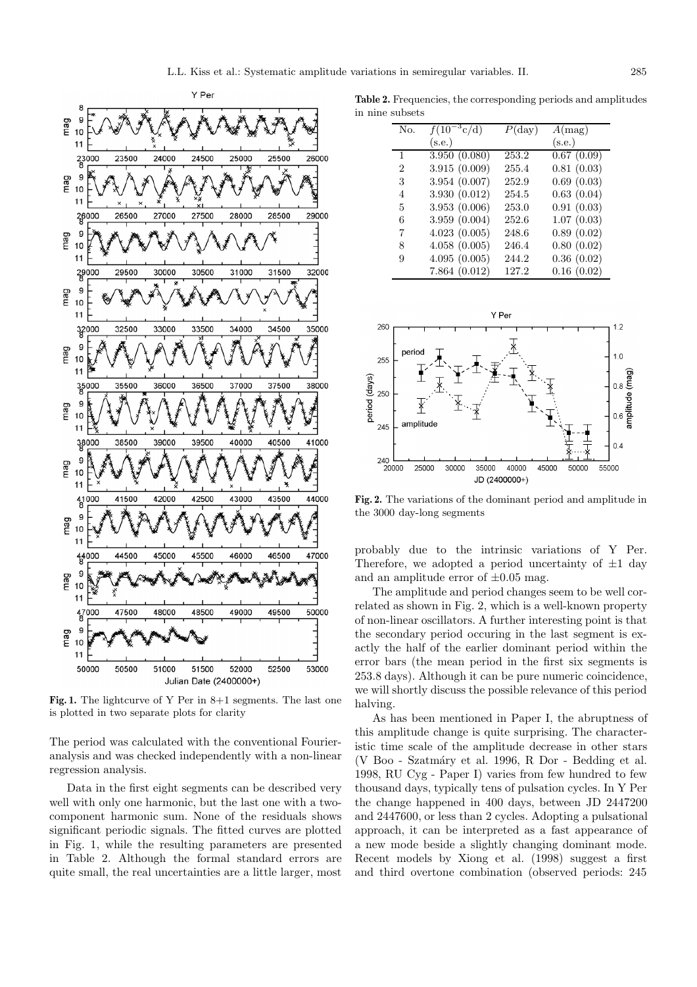

Fig. 1. The lightcurve of Y Per in 8+1 segments. The last one is plotted in two separate plots for clarity

The period was calculated with the conventional Fourieranalysis and was checked independently with a non-linear regression analysis.

Data in the first eight segments can be described very well with only one harmonic, but the last one with a twocomponent harmonic sum. None of the residuals shows significant periodic signals. The fitted curves are plotted in Fig. 1, while the resulting parameters are presented in Table 2. Although the formal standard errors are quite small, the real uncertainties are a little larger, most

**Table 2.** Frequencies, the corresponding periods and amplitudes in nine subsets

| No.            | $f(10^{-3}c/d)$ | $P(\text{day})$ | A(mag)     |
|----------------|-----------------|-----------------|------------|
|                | (s.e.)          |                 | (s.e.)     |
| 1              | 3.950(0.080)    | 253.2           | 0.67(0.09) |
| $\overline{2}$ | 3.915(0.009)    | 255.4           | 0.81(0.03) |
| 3              | 3.954(0.007)    | 252.9           | 0.69(0.03) |
| 4              | 3.930(0.012)    | 254.5           | 0.63(0.04) |
| 5              | 3.953(0.006)    | 253.0           | 0.91(0.03) |
| 6              | 3.959(0.004)    | 252.6           | 1.07(0.03) |
| 7              | 4.023(0.005)    | 248.6           | 0.89(0.02) |
| 8              | 4.058(0.005)    | 246.4           | 0.80(0.02) |
| 9              | 4.095(0.005)    | 244.2           | 0.36(0.02) |
|                | 7.864(0.012)    | 127.2           | 0.16(0.02) |



**Fig. 2.** The variations of the dominant period and amplitude in the 3000 day-long segments

probably due to the intrinsic variations of Y Per. Therefore, we adopted a period uncertainty of  $\pm 1$  day and an amplitude error of  $\pm 0.05$  mag.

The amplitude and period changes seem to be well correlated as shown in Fig. 2, which is a well-known property of non-linear oscillators. A further interesting point is that the secondary period occuring in the last segment is exactly the half of the earlier dominant period within the error bars (the mean period in the first six segments is 253.8 days). Although it can be pure numeric coincidence, we will shortly discuss the possible relevance of this period halving.

As has been mentioned in Paper I, the abruptness of this amplitude change is quite surprising. The characteristic time scale of the amplitude decrease in other stars (V Boo - Szatm´ary et al. 1996, R Dor - Bedding et al. 1998, RU Cyg - Paper I) varies from few hundred to few thousand days, typically tens of pulsation cycles. In Y Per the change happened in 400 days, between JD 2447200 and 2447600, or less than 2 cycles. Adopting a pulsational approach, it can be interpreted as a fast appearance of a new mode beside a slightly changing dominant mode. Recent models by Xiong et al. (1998) suggest a first and third overtone combination (observed periods: 245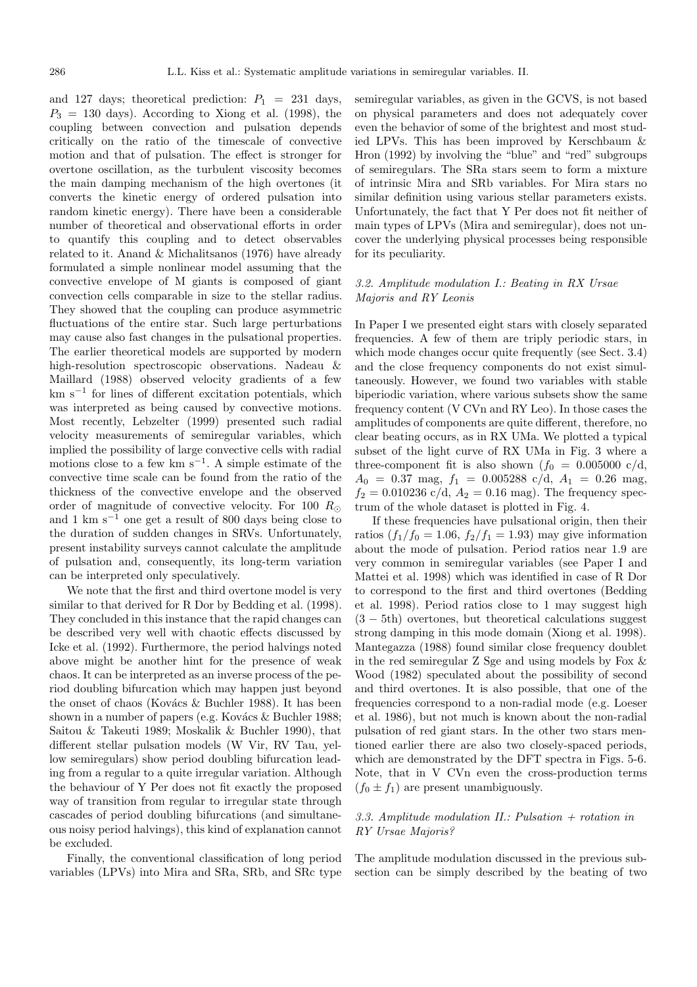and 127 days; theoretical prediction:  $P_1 = 231$  days,  $P_3 = 130$  days). According to Xiong et al. (1998), the coupling between convection and pulsation depends critically on the ratio of the timescale of convective motion and that of pulsation. The effect is stronger for overtone oscillation, as the turbulent viscosity becomes the main damping mechanism of the high overtones (it converts the kinetic energy of ordered pulsation into random kinetic energy). There have been a considerable number of theoretical and observational efforts in order to quantify this coupling and to detect observables related to it. Anand & Michalitsanos (1976) have already formulated a simple nonlinear model assuming that the convective envelope of M giants is composed of giant convection cells comparable in size to the stellar radius. They showed that the coupling can produce asymmetric fluctuations of the entire star. Such large perturbations may cause also fast changes in the pulsational properties. The earlier theoretical models are supported by modern high-resolution spectroscopic observations. Nadeau & Maillard (1988) observed velocity gradients of a few km  $s^{-1}$  for lines of different excitation potentials, which was interpreted as being caused by convective motions. Most recently, Lebzelter (1999) presented such radial velocity measurements of semiregular variables, which implied the possibility of large convective cells with radial motions close to a few km  $s^{-1}$ . A simple estimate of the convective time scale can be found from the ratio of the thickness of the convective envelope and the observed order of magnitude of convective velocity. For 100  $R_{\odot}$ and 1 km s<sup> $-1$ </sup> one get a result of 800 days being close to the duration of sudden changes in SRVs. Unfortunately, present instability surveys cannot calculate the amplitude of pulsation and, consequently, its long-term variation can be interpreted only speculatively.

We note that the first and third overtone model is very similar to that derived for R Dor by Bedding et al. (1998). They concluded in this instance that the rapid changes can be described very well with chaotic effects discussed by Icke et al. (1992). Furthermore, the period halvings noted above might be another hint for the presence of weak chaos. It can be interpreted as an inverse process of the period doubling bifurcation which may happen just beyond the onset of chaos (Kovács & Buchler 1988). It has been shown in a number of papers (e.g. Kovács  $\&$  Buchler 1988; Saitou & Takeuti 1989; Moskalik & Buchler 1990), that different stellar pulsation models (W Vir, RV Tau, yellow semiregulars) show period doubling bifurcation leading from a regular to a quite irregular variation. Although the behaviour of Y Per does not fit exactly the proposed way of transition from regular to irregular state through cascades of period doubling bifurcations (and simultaneous noisy period halvings), this kind of explanation cannot be excluded.

Finally, the conventional classification of long period variables (LPVs) into Mira and SRa, SRb, and SRc type semiregular variables, as given in the GCVS, is not based on physical parameters and does not adequately cover even the behavior of some of the brightest and most studied LPVs. This has been improved by Kerschbaum & Hron (1992) by involving the "blue" and "red" subgroups of semiregulars. The SRa stars seem to form a mixture of intrinsic Mira and SRb variables. For Mira stars no similar definition using various stellar parameters exists. Unfortunately, the fact that Y Per does not fit neither of main types of LPVs (Mira and semiregular), does not uncover the underlying physical processes being responsible for its peculiarity.

## 3.2. Amplitude modulation I.: Beating in RX Ursae Majoris and RY Leonis

In Paper I we presented eight stars with closely separated frequencies. A few of them are triply periodic stars, in which mode changes occur quite frequently (see Sect. 3.4) and the close frequency components do not exist simultaneously. However, we found two variables with stable biperiodic variation, where various subsets show the same frequency content (V CVn and RY Leo). In those cases the amplitudes of components are quite different, therefore, no clear beating occurs, as in RX UMa. We plotted a typical subset of the light curve of RX UMa in Fig. 3 where a three-component fit is also shown  $(f_0 = 0.005000 \text{ c/d},$  $A_0 = 0.37$  mag,  $f_1 = 0.005288$  c/d,  $A_1 = 0.26$  mag,  $f_2 = 0.010236$  c/d,  $A_2 = 0.16$  mag). The frequency spectrum of the whole dataset is plotted in Fig. 4.

If these frequencies have pulsational origin, then their ratios  $(f_1/f_0 = 1.06, f_2/f_1 = 1.93)$  may give information about the mode of pulsation. Period ratios near 1.9 are very common in semiregular variables (see Paper I and Mattei et al. 1998) which was identified in case of R Dor to correspond to the first and third overtones (Bedding et al. 1998). Period ratios close to 1 may suggest high (3 − 5th) overtones, but theoretical calculations suggest strong damping in this mode domain (Xiong et al. 1998). Mantegazza (1988) found similar close frequency doublet in the red semiregular Z Sge and using models by Fox & Wood (1982) speculated about the possibility of second and third overtones. It is also possible, that one of the frequencies correspond to a non-radial mode (e.g. Loeser et al. 1986), but not much is known about the non-radial pulsation of red giant stars. In the other two stars mentioned earlier there are also two closely-spaced periods, which are demonstrated by the DFT spectra in Figs. 5-6. Note, that in V CVn even the cross-production terms  $(f_0 \pm f_1)$  are present unambiguously.

## 3.3. Amplitude modulation II.: Pulsation  $\pm$  rotation in RY Ursae Majoris?

The amplitude modulation discussed in the previous subsection can be simply described by the beating of two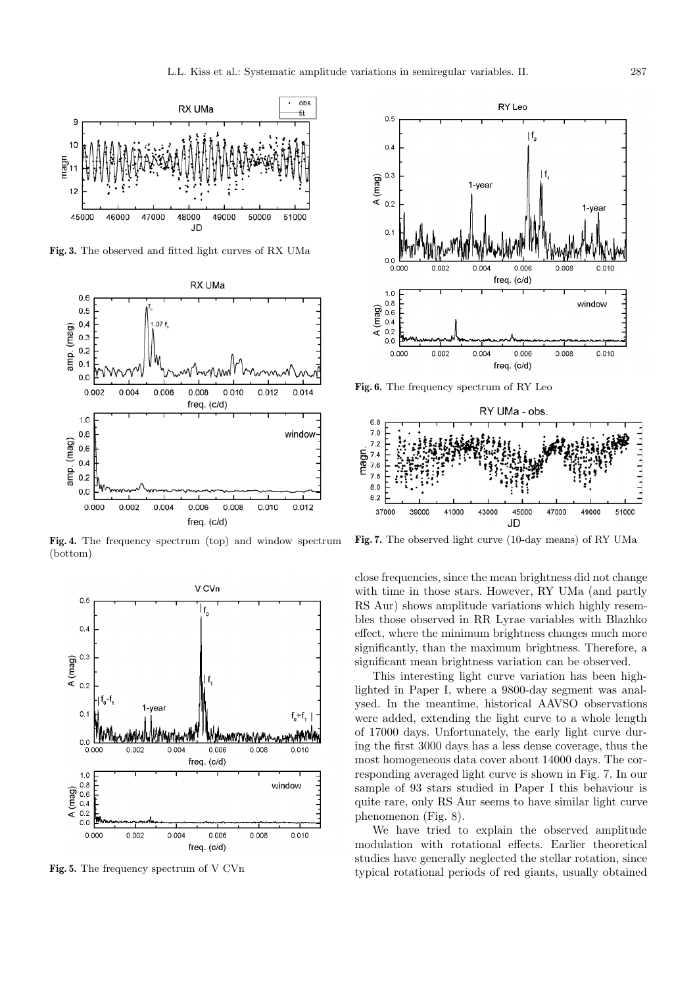

**Fig. 3.** The observed and fitted light curves of RX UMa



**Fig. 4.** The frequency spectrum (top) and window spectrum (bottom)



**Fig. 5.** The frequency spectrum of V CVn



**Fig. 6.** The frequency spectrum of RY Leo



**Fig. 7.** The observed light curve (10-day means) of RY UMa

close frequencies, since the mean brightness did not change with time in those stars. However, RY UMa (and partly RS Aur) shows amplitude variations which highly resembles those observed in RR Lyrae variables with Blazhko effect, where the minimum brightness changes much more significantly, than the maximum brightness. Therefore, a significant mean brightness variation can be observed.

This interesting light curve variation has been highlighted in Paper I, where a 9800-day segment was analysed. In the meantime, historical AAVSO observations were added, extending the light curve to a whole length of 17000 days. Unfortunately, the early light curve during the first 3000 days has a less dense coverage, thus the most homogeneous data cover about 14000 days. The corresponding averaged light curve is shown in Fig. 7. In our sample of 93 stars studied in Paper I this behaviour is quite rare, only RS Aur seems to have similar light curve phenomenon (Fig. 8).

We have tried to explain the observed amplitude modulation with rotational effects. Earlier theoretical studies have generally neglected the stellar rotation, since typical rotational periods of red giants, usually obtained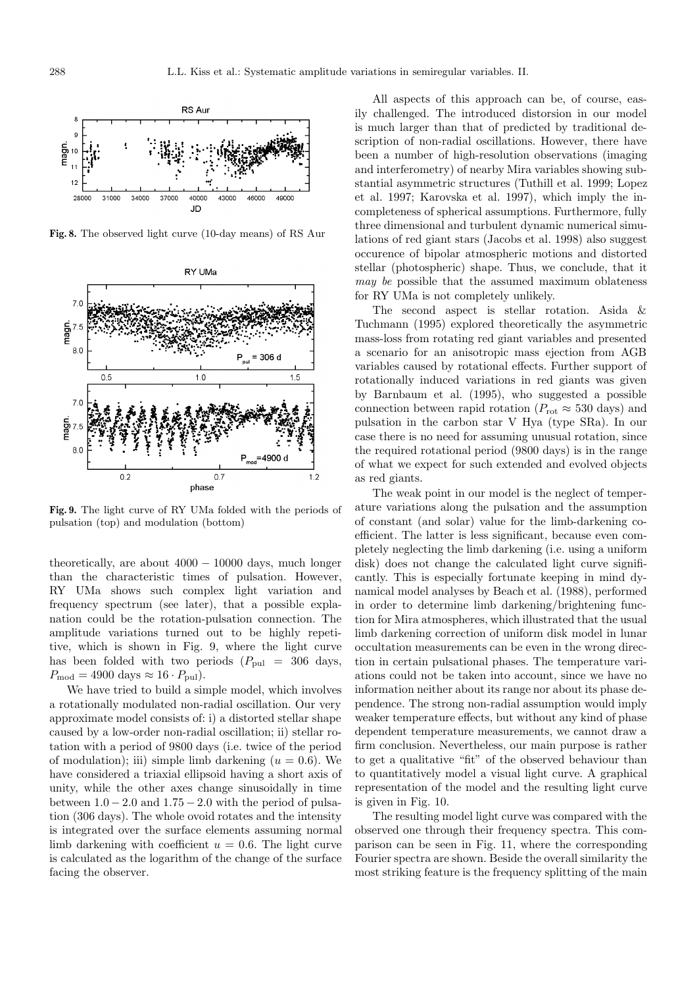

**Fig. 8.** The observed light curve (10-day means) of RS Aur



**Fig. 9.** The light curve of RY UMa folded with the periods of pulsation (top) and modulation (bottom)

theoretically, are about  $4000 - 10000$  days, much longer than the characteristic times of pulsation. However, RY UMa shows such complex light variation and frequency spectrum (see later), that a possible explanation could be the rotation-pulsation connection. The amplitude variations turned out to be highly repetitive, which is shown in Fig. 9, where the light curve has been folded with two periods  $(P_{\text{pul}} = 306 \text{ days},$  $P_{\text{mod}} = 4900 \text{ days} \approx 16 \cdot P_{\text{pul}}$ .

We have tried to build a simple model, which involves a rotationally modulated non-radial oscillation. Our very approximate model consists of: i) a distorted stellar shape caused by a low-order non-radial oscillation; ii) stellar rotation with a period of 9800 days (i.e. twice of the period of modulation); iii) simple limb darkening  $(u = 0.6)$ . We have considered a triaxial ellipsoid having a short axis of unity, while the other axes change sinusoidally in time between  $1.0 - 2.0$  and  $1.75 - 2.0$  with the period of pulsation (306 days). The whole ovoid rotates and the intensity is integrated over the surface elements assuming normal limb darkening with coefficient  $u = 0.6$ . The light curve is calculated as the logarithm of the change of the surface facing the observer.

All aspects of this approach can be, of course, easily challenged. The introduced distorsion in our model is much larger than that of predicted by traditional description of non-radial oscillations. However, there have been a number of high-resolution observations (imaging and interferometry) of nearby Mira variables showing substantial asymmetric structures (Tuthill et al. 1999; Lopez et al. 1997; Karovska et al. 1997), which imply the incompleteness of spherical assumptions. Furthermore, fully three dimensional and turbulent dynamic numerical simulations of red giant stars (Jacobs et al. 1998) also suggest occurence of bipolar atmospheric motions and distorted stellar (photospheric) shape. Thus, we conclude, that it may be possible that the assumed maximum oblateness for RY UMa is not completely unlikely.

The second aspect is stellar rotation. Asida & Tuchmann (1995) explored theoretically the asymmetric mass-loss from rotating red giant variables and presented a scenario for an anisotropic mass ejection from AGB variables caused by rotational effects. Further support of rotationally induced variations in red giants was given by Barnbaum et al. (1995), who suggested a possible connection between rapid rotation ( $P_{\text{rot}} \approx 530$  days) and pulsation in the carbon star V Hya (type SRa). In our case there is no need for assuming unusual rotation, since the required rotational period (9800 days) is in the range of what we expect for such extended and evolved objects as red giants.

The weak point in our model is the neglect of temperature variations along the pulsation and the assumption of constant (and solar) value for the limb-darkening coefficient. The latter is less significant, because even completely neglecting the limb darkening (i.e. using a uniform disk) does not change the calculated light curve significantly. This is especially fortunate keeping in mind dynamical model analyses by Beach et al. (1988), performed in order to determine limb darkening/brightening function for Mira atmospheres, which illustrated that the usual limb darkening correction of uniform disk model in lunar occultation measurements can be even in the wrong direction in certain pulsational phases. The temperature variations could not be taken into account, since we have no information neither about its range nor about its phase dependence. The strong non-radial assumption would imply weaker temperature effects, but without any kind of phase dependent temperature measurements, we cannot draw a firm conclusion. Nevertheless, our main purpose is rather to get a qualitative "fit" of the observed behaviour than to quantitatively model a visual light curve. A graphical representation of the model and the resulting light curve is given in Fig. 10.

The resulting model light curve was compared with the observed one through their frequency spectra. This comparison can be seen in Fig. 11, where the corresponding Fourier spectra are shown. Beside the overall similarity the most striking feature is the frequency splitting of the main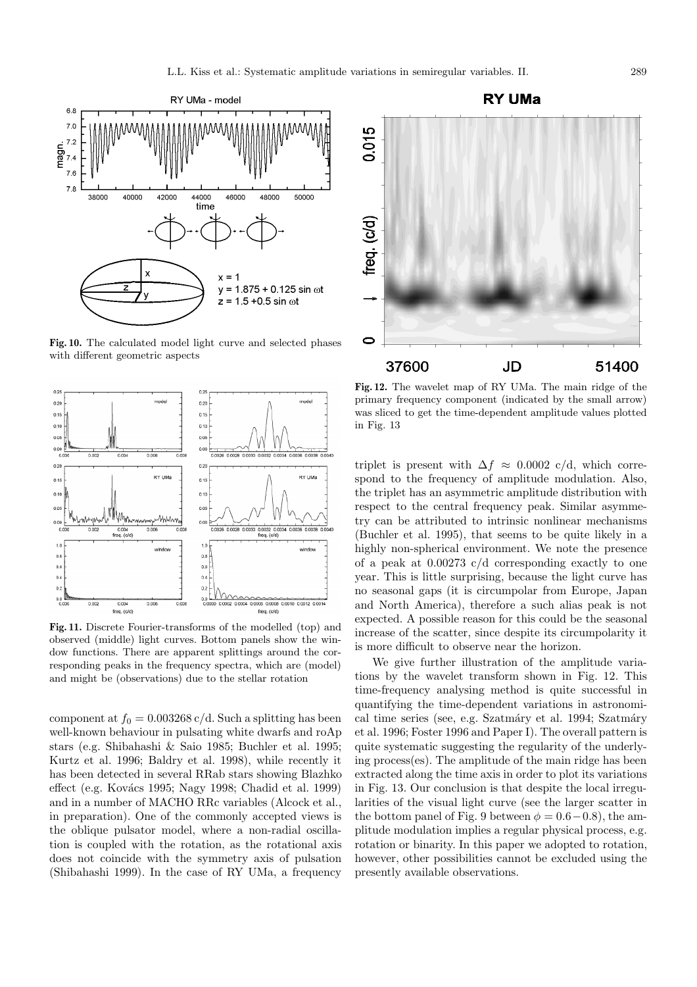

**Fig. 10.** The calculated model light curve and selected phases with different geometric aspects



**Fig. 11.** Discrete Fourier-transforms of the modelled (top) and observed (middle) light curves. Bottom panels show the window functions. There are apparent splittings around the corresponding peaks in the frequency spectra, which are (model) and might be (observations) due to the stellar rotation

component at  $f_0 = 0.003268 \text{ c/d}$ . Such a splitting has been well-known behaviour in pulsating white dwarfs and roAp stars (e.g. Shibahashi & Saio 1985; Buchler et al. 1995; Kurtz et al. 1996; Baldry et al. 1998), while recently it has been detected in several RRab stars showing Blazhko effect (e.g. Kovács 1995; Nagy 1998; Chadid et al. 1999) and in a number of MACHO RRc variables (Alcock et al., in preparation). One of the commonly accepted views is the oblique pulsator model, where a non-radial oscillation is coupled with the rotation, as the rotational axis does not coincide with the symmetry axis of pulsation (Shibahashi 1999). In the case of RY UMa, a frequency



**Fig. 12.** The wavelet map of RY UMa. The main ridge of the primary frequency component (indicated by the small arrow) was sliced to get the time-dependent amplitude values plotted in Fig. 13

triplet is present with  $\Delta f \approx 0.0002$  c/d, which correspond to the frequency of amplitude modulation. Also, the triplet has an asymmetric amplitude distribution with respect to the central frequency peak. Similar asymmetry can be attributed to intrinsic nonlinear mechanisms (Buchler et al. 1995), that seems to be quite likely in a highly non-spherical environment. We note the presence of a peak at 0.00273 c/d corresponding exactly to one year. This is little surprising, because the light curve has no seasonal gaps (it is circumpolar from Europe, Japan and North America), therefore a such alias peak is not expected. A possible reason for this could be the seasonal increase of the scatter, since despite its circumpolarity it is more difficult to observe near the horizon.

We give further illustration of the amplitude variations by the wavelet transform shown in Fig. 12. This time-frequency analysing method is quite successful in quantifying the time-dependent variations in astronomical time series (see, e.g. Szatmáry et al. 1994; Szatmáry et al. 1996; Foster 1996 and Paper I). The overall pattern is quite systematic suggesting the regularity of the underlying process(es). The amplitude of the main ridge has been extracted along the time axis in order to plot its variations in Fig. 13. Our conclusion is that despite the local irregularities of the visual light curve (see the larger scatter in the bottom panel of Fig. 9 between  $\phi = 0.6 - 0.8$ , the amplitude modulation implies a regular physical process, e.g. rotation or binarity. In this paper we adopted to rotation, however, other possibilities cannot be excluded using the presently available observations.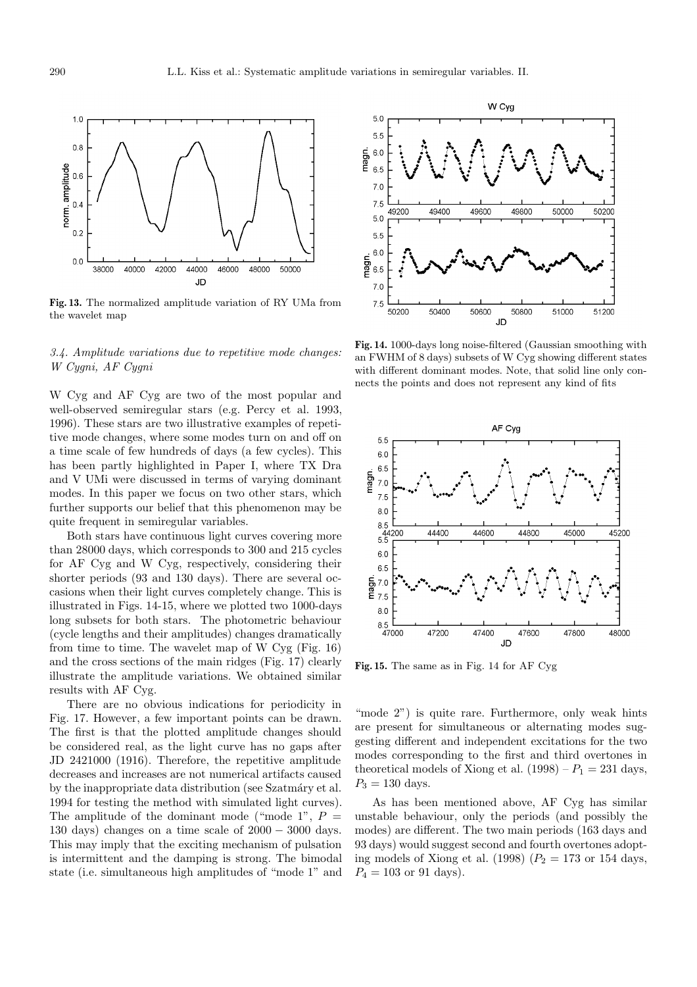

**Fig. 13.** The normalized amplitude variation of RY UMa from the wavelet map

## 3.4. Amplitude variations due to repetitive mode changes: W Cygni, AF Cygni

W Cyg and AF Cyg are two of the most popular and well-observed semiregular stars (e.g. Percy et al. 1993, 1996). These stars are two illustrative examples of repetitive mode changes, where some modes turn on and off on a time scale of few hundreds of days (a few cycles). This has been partly highlighted in Paper I, where TX Dra and V UMi were discussed in terms of varying dominant modes. In this paper we focus on two other stars, which further supports our belief that this phenomenon may be quite frequent in semiregular variables.

Both stars have continuous light curves covering more than 28000 days, which corresponds to 300 and 215 cycles for AF Cyg and W Cyg, respectively, considering their shorter periods (93 and 130 days). There are several occasions when their light curves completely change. This is illustrated in Figs. 14-15, where we plotted two 1000-days long subsets for both stars. The photometric behaviour (cycle lengths and their amplitudes) changes dramatically from time to time. The wavelet map of W Cyg (Fig. 16) and the cross sections of the main ridges (Fig. 17) clearly illustrate the amplitude variations. We obtained similar results with AF Cyg.

There are no obvious indications for periodicity in Fig. 17. However, a few important points can be drawn. The first is that the plotted amplitude changes should be considered real, as the light curve has no gaps after JD 2421000 (1916). Therefore, the repetitive amplitude decreases and increases are not numerical artifacts caused by the inappropriate data distribution (see Szatmáry et al. 1994 for testing the method with simulated light curves). The amplitude of the dominant mode ("mode 1",  $P =$ 130 days) changes on a time scale of  $2000 - 3000$  days. This may imply that the exciting mechanism of pulsation is intermittent and the damping is strong. The bimodal state (i.e. simultaneous high amplitudes of "mode 1" and



**Fig. 14.** 1000-days long noise-filtered (Gaussian smoothing with an FWHM of 8 days) subsets of W Cyg showing different states with different dominant modes. Note, that solid line only connects the points and does not represent any kind of fits



**Fig. 15.** The same as in Fig. 14 for AF Cyg

"mode 2") is quite rare. Furthermore, only weak hints are present for simultaneous or alternating modes suggesting different and independent excitations for the two modes corresponding to the first and third overtones in theoretical models of Xiong et al.  $(1998) - P_1 = 231$  days,  $P_3 = 130$  days.

As has been mentioned above, AF Cyg has similar unstable behaviour, only the periods (and possibly the modes) are different. The two main periods (163 days and 93 days) would suggest second and fourth overtones adopting models of Xiong et al. (1998)  $(P_2 = 173 \text{ or } 154 \text{ days},$  $P_4 = 103$  or 91 days).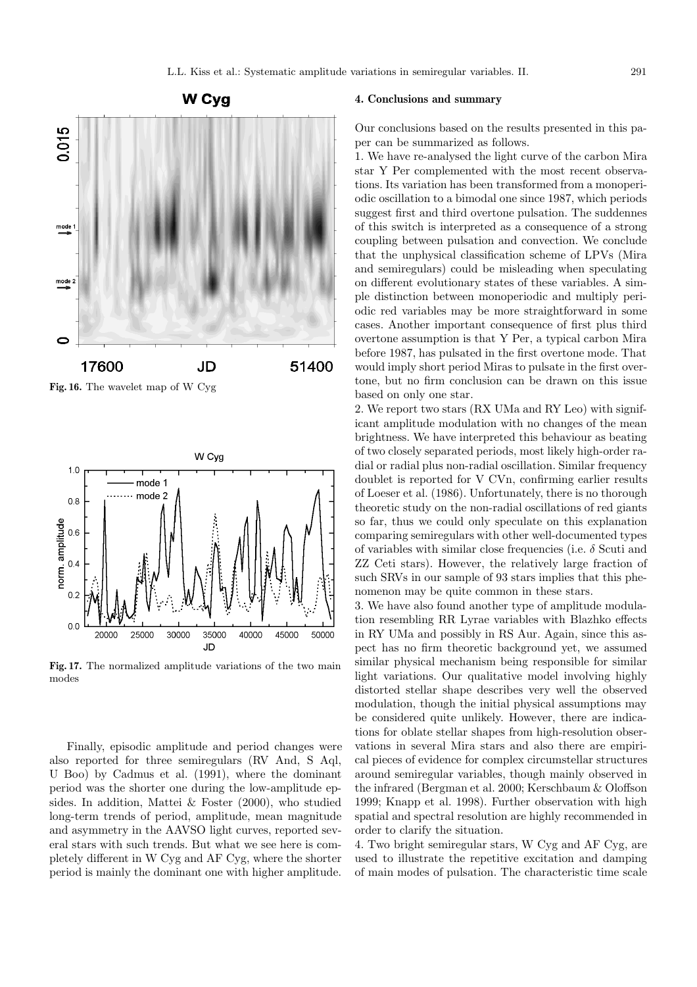

17600 JD 51400 **Fig. 16.** The wavelet map of W Cyg



**Fig. 17.** The normalized amplitude variations of the two main modes

Finally, episodic amplitude and period changes were also reported for three semiregulars (RV And, S Aql, U Boo) by Cadmus et al. (1991), where the dominant period was the shorter one during the low-amplitude epsides. In addition, Mattei & Foster (2000), who studied long-term trends of period, amplitude, mean magnitude and asymmetry in the AAVSO light curves, reported several stars with such trends. But what we see here is completely different in W Cyg and AF Cyg, where the shorter period is mainly the dominant one with higher amplitude.

## **4. Conclusions and summary**

Our conclusions based on the results presented in this paper can be summarized as follows.

1. We have re-analysed the light curve of the carbon Mira star Y Per complemented with the most recent observations. Its variation has been transformed from a monoperiodic oscillation to a bimodal one since 1987, which periods suggest first and third overtone pulsation. The suddennes of this switch is interpreted as a consequence of a strong coupling between pulsation and convection. We conclude that the unphysical classification scheme of LPVs (Mira and semiregulars) could be misleading when speculating on different evolutionary states of these variables. A simple distinction between monoperiodic and multiply periodic red variables may be more straightforward in some cases. Another important consequence of first plus third overtone assumption is that Y Per, a typical carbon Mira before 1987, has pulsated in the first overtone mode. That would imply short period Miras to pulsate in the first overtone, but no firm conclusion can be drawn on this issue based on only one star.

2. We report two stars (RX UMa and RY Leo) with significant amplitude modulation with no changes of the mean brightness. We have interpreted this behaviour as beating of two closely separated periods, most likely high-order radial or radial plus non-radial oscillation. Similar frequency doublet is reported for V CVn, confirming earlier results of Loeser et al. (1986). Unfortunately, there is no thorough theoretic study on the non-radial oscillations of red giants so far, thus we could only speculate on this explanation comparing semiregulars with other well-documented types of variables with similar close frequencies (i.e.  $\delta$  Scuti and ZZ Ceti stars). However, the relatively large fraction of such SRVs in our sample of 93 stars implies that this phenomenon may be quite common in these stars.

3. We have also found another type of amplitude modulation resembling RR Lyrae variables with Blazhko effects in RY UMa and possibly in RS Aur. Again, since this aspect has no firm theoretic background yet, we assumed similar physical mechanism being responsible for similar light variations. Our qualitative model involving highly distorted stellar shape describes very well the observed modulation, though the initial physical assumptions may be considered quite unlikely. However, there are indications for oblate stellar shapes from high-resolution observations in several Mira stars and also there are empirical pieces of evidence for complex circumstellar structures around semiregular variables, though mainly observed in the infrared (Bergman et al. 2000; Kerschbaum & Oloffson 1999; Knapp et al. 1998). Further observation with high spatial and spectral resolution are highly recommended in order to clarify the situation.

4. Two bright semiregular stars, W Cyg and AF Cyg, are used to illustrate the repetitive excitation and damping of main modes of pulsation. The characteristic time scale